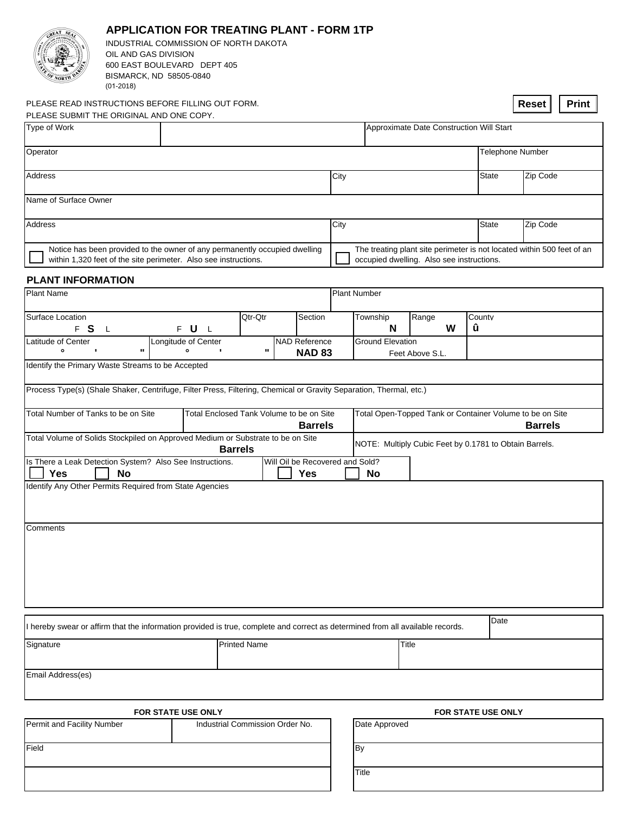